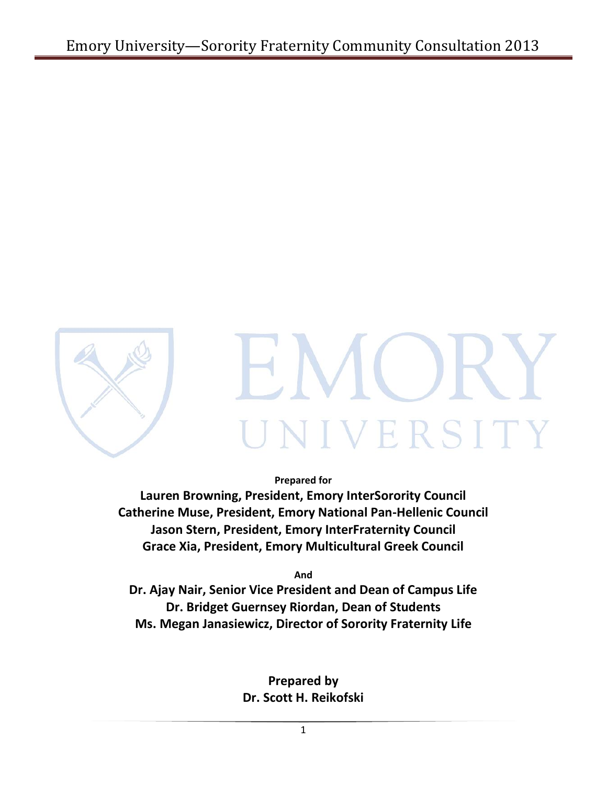

IVERSITY

**Prepared for**

**Lauren Browning, President, Emory InterSorority Council Catherine Muse, President, Emory National Pan-Hellenic Council Jason Stern, President, Emory InterFraternity Council Grace Xia, President, Emory Multicultural Greek Council**

**And**

**Dr. Ajay Nair, Senior Vice President and Dean of Campus Life Dr. Bridget Guernsey Riordan, Dean of Students Ms. Megan Janasiewicz, Director of Sorority Fraternity Life**

> **Prepared by Dr. Scott H. Reikofski**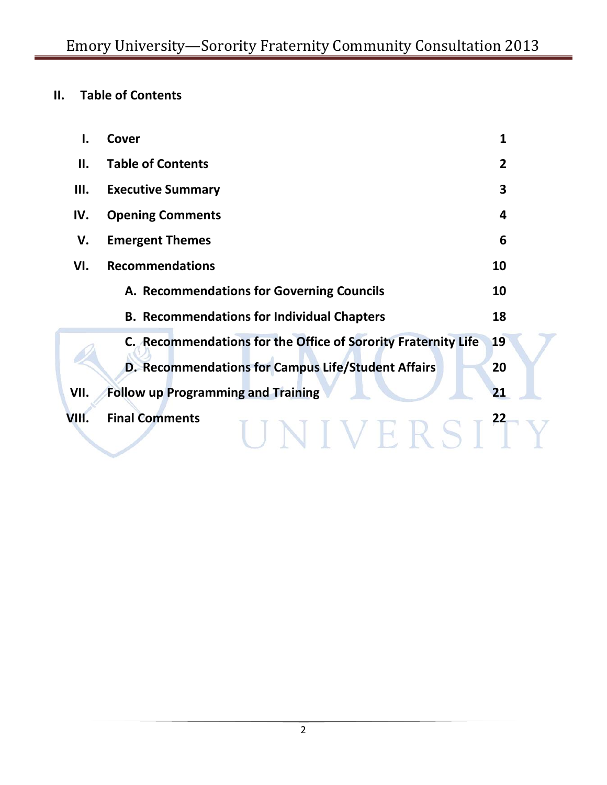# **II. Table of Contents**

| ı.    | Cover                                                         | 1              |
|-------|---------------------------------------------------------------|----------------|
| П.    | <b>Table of Contents</b>                                      | $\overline{2}$ |
| Ш.    | <b>Executive Summary</b>                                      | 3              |
| IV.   | <b>Opening Comments</b>                                       | 4              |
| V.    | <b>Emergent Themes</b>                                        | 6              |
| VI.   | <b>Recommendations</b>                                        | 10             |
|       | A. Recommendations for Governing Councils                     | 10             |
|       | <b>B. Recommendations for Individual Chapters</b>             | 18             |
|       | C. Recommendations for the Office of Sorority Fraternity Life | 19             |
|       | D. Recommendations for Campus Life/Student Affairs            | 20             |
| VII.  | <b>Follow up Programming and Training</b>                     | 21             |
| VIII. | <b>Final Comments</b>                                         | 22             |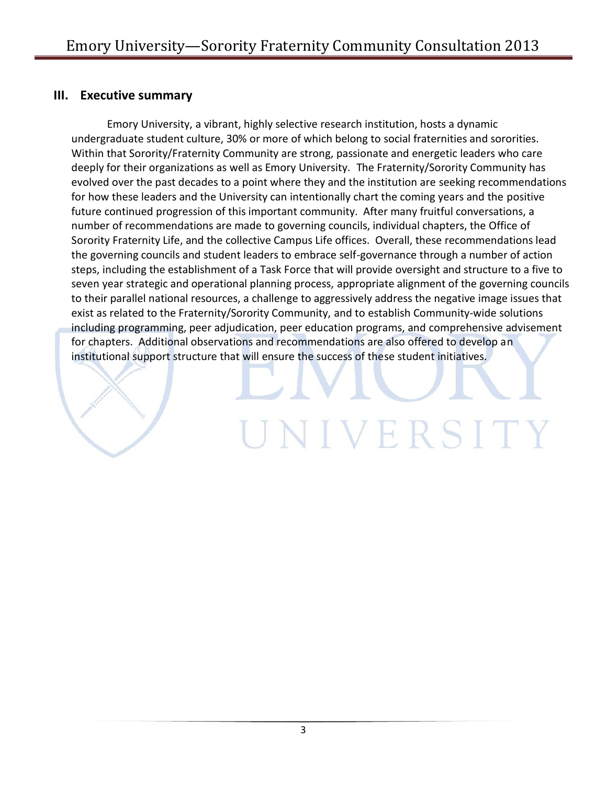### **III. Executive summary**

Emory University, a vibrant, highly selective research institution, hosts a dynamic undergraduate student culture, 30% or more of which belong to social fraternities and sororities. Within that Sorority/Fraternity Community are strong, passionate and energetic leaders who care deeply for their organizations as well as Emory University. The Fraternity/Sorority Community has evolved over the past decades to a point where they and the institution are seeking recommendations for how these leaders and the University can intentionally chart the coming years and the positive future continued progression of this important community. After many fruitful conversations, a number of recommendations are made to governing councils, individual chapters, the Office of Sorority Fraternity Life, and the collective Campus Life offices. Overall, these recommendations lead the governing councils and student leaders to embrace self-governance through a number of action steps, including the establishment of a Task Force that will provide oversight and structure to a five to seven year strategic and operational planning process, appropriate alignment of the governing councils to their parallel national resources, a challenge to aggressively address the negative image issues that exist as related to the Fraternity/Sorority Community, and to establish Community-wide solutions including programming, peer adjudication, peer education programs, and comprehensive advisement for chapters. Additional observations and recommendations are also offered to develop an institutional support structure that will ensure the success of these student initiatives.

UNIVERSITY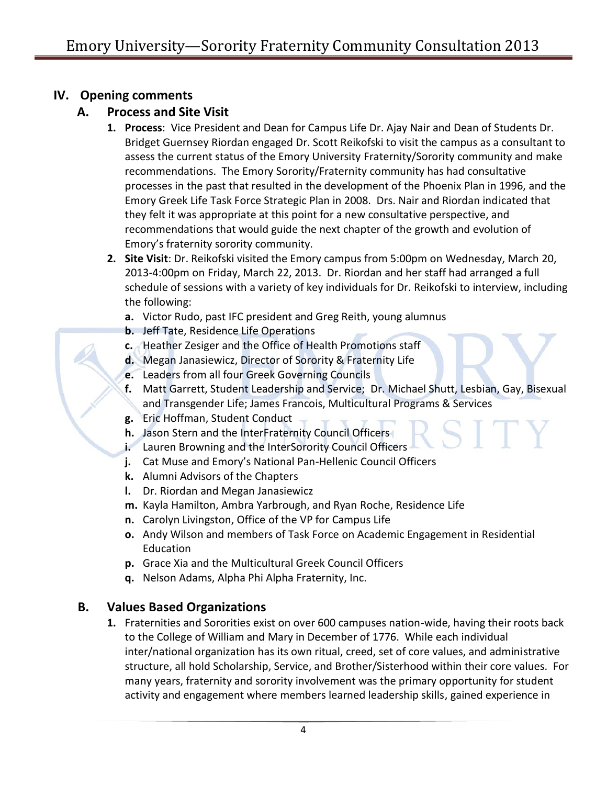# **IV. Opening comments**

# **A. Process and Site Visit**

- **1. Process**: Vice President and Dean for Campus Life Dr. Ajay Nair and Dean of Students Dr. Bridget Guernsey Riordan engaged Dr. Scott Reikofski to visit the campus as a consultant to assess the current status of the Emory University Fraternity/Sorority community and make recommendations. The Emory Sorority/Fraternity community has had consultative processes in the past that resulted in the development of the Phoenix Plan in 1996, and the Emory Greek Life Task Force Strategic Plan in 2008. Drs. Nair and Riordan indicated that they felt it was appropriate at this point for a new consultative perspective, and recommendations that would guide the next chapter of the growth and evolution of Emory's fraternity sorority community.
- **2. Site Visit**: Dr. Reikofski visited the Emory campus from 5:00pm on Wednesday, March 20, 2013-4:00pm on Friday, March 22, 2013. Dr. Riordan and her staff had arranged a full schedule of sessions with a variety of key individuals for Dr. Reikofski to interview, including the following:
	- **a.** Victor Rudo, past IFC president and Greg Reith, young alumnus
	- **b.** Jeff Tate, Residence Life Operations
	- **c.** Heather Zesiger and the Office of Health Promotions staff
	- **d.** Megan Janasiewicz, Director of Sorority & Fraternity Life
	- **e.** Leaders from all four Greek Governing Councils
	- **f.** Matt Garrett, Student Leadership and Service; Dr. Michael Shutt, Lesbian, Gay, Bisexual and Transgender Life; James Francois, Multicultural Programs & Services
	- **g.** Eric Hoffman, Student Conduct
	- **h.** Jason Stern and the InterFraternity Council Officers
	- **i.** Lauren Browning and the InterSorority Council Officers
	- **j.** Cat Muse and Emory's National Pan-Hellenic Council Officers
	- **k.** Alumni Advisors of the Chapters
	- **l.** Dr. Riordan and Megan Janasiewicz
	- **m.** Kayla Hamilton, Ambra Yarbrough, and Ryan Roche, Residence Life
	- **n.** Carolyn Livingston, Office of the VP for Campus Life
	- **o.** Andy Wilson and members of Task Force on Academic Engagement in Residential Education
	- **p.** Grace Xia and the Multicultural Greek Council Officers
	- **q.** Nelson Adams, Alpha Phi Alpha Fraternity, Inc.

# **B. Values Based Organizations**

**1.** Fraternities and Sororities exist on over 600 campuses nation-wide, having their roots back to the College of William and Mary in December of 1776. While each individual inter/national organization has its own ritual, creed, set of core values, and administrative structure, all hold Scholarship, Service, and Brother/Sisterhood within their core values. For many years, fraternity and sorority involvement was the primary opportunity for student activity and engagement where members learned leadership skills, gained experience in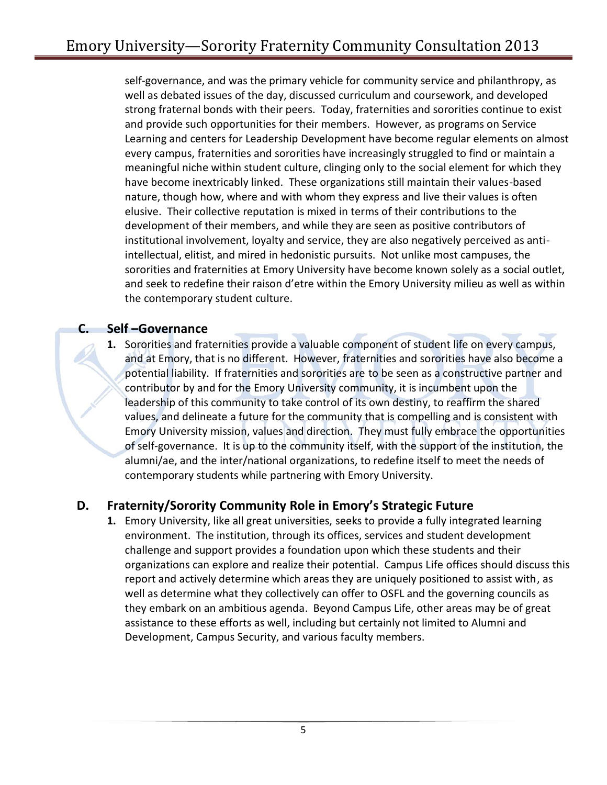self-governance, and was the primary vehicle for community service and philanthropy, as well as debated issues of the day, discussed curriculum and coursework, and developed strong fraternal bonds with their peers. Today, fraternities and sororities continue to exist and provide such opportunities for their members. However, as programs on Service Learning and centers for Leadership Development have become regular elements on almost every campus, fraternities and sororities have increasingly struggled to find or maintain a meaningful niche within student culture, clinging only to the social element for which they have become inextricably linked. These organizations still maintain their values-based nature, though how, where and with whom they express and live their values is often elusive. Their collective reputation is mixed in terms of their contributions to the development of their members, and while they are seen as positive contributors of institutional involvement, loyalty and service, they are also negatively perceived as antiintellectual, elitist, and mired in hedonistic pursuits. Not unlike most campuses, the sororities and fraternities at Emory University have become known solely as a social outlet, and seek to redefine their raison d'etre within the Emory University milieu as well as within the contemporary student culture.

### **C. Self –Governance**

**1.** Sororities and fraternities provide a valuable component of student life on every campus, and at Emory, that is no different. However, fraternities and sororities have also become a potential liability. If fraternities and sororities are to be seen as a constructive partner and contributor by and for the Emory University community, it is incumbent upon the leadership of this community to take control of its own destiny, to reaffirm the shared values, and delineate a future for the community that is compelling and is consistent with Emory University mission, values and direction. They must fully embrace the opportunities of self-governance. It is up to the community itself, with the support of the institution, the alumni/ae, and the inter/national organizations, to redefine itself to meet the needs of contemporary students while partnering with Emory University.

# **D. Fraternity/Sorority Community Role in Emory's Strategic Future**

**1.** Emory University, like all great universities, seeks to provide a fully integrated learning environment. The institution, through its offices, services and student development challenge and support provides a foundation upon which these students and their organizations can explore and realize their potential. Campus Life offices should discuss this report and actively determine which areas they are uniquely positioned to assist with, as well as determine what they collectively can offer to OSFL and the governing councils as they embark on an ambitious agenda. Beyond Campus Life, other areas may be of great assistance to these efforts as well, including but certainly not limited to Alumni and Development, Campus Security, and various faculty members.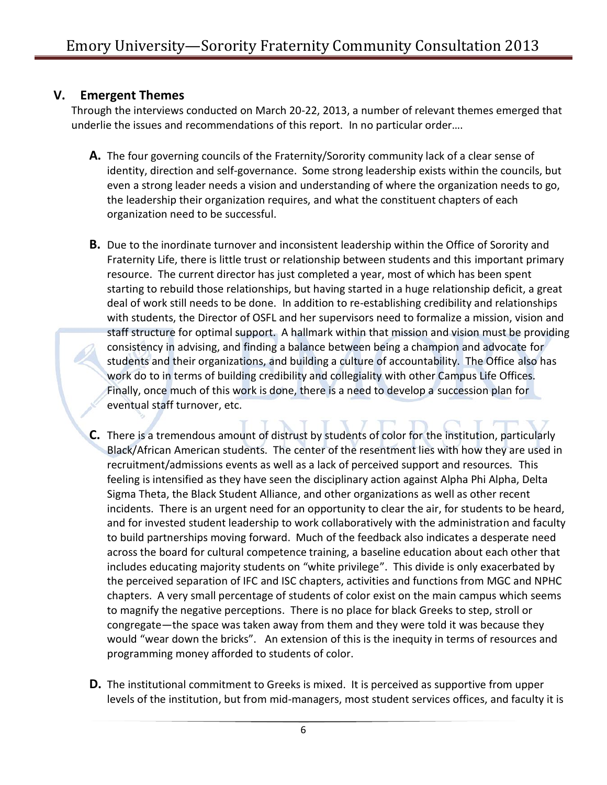## **V. Emergent Themes**

Through the interviews conducted on March 20-22, 2013, a number of relevant themes emerged that underlie the issues and recommendations of this report. In no particular order….

- **A.** The four governing councils of the Fraternity/Sorority community lack of a clear sense of identity, direction and self-governance. Some strong leadership exists within the councils, but even a strong leader needs a vision and understanding of where the organization needs to go, the leadership their organization requires, and what the constituent chapters of each organization need to be successful.
- **B.** Due to the inordinate turnover and inconsistent leadership within the Office of Sorority and Fraternity Life, there is little trust or relationship between students and this important primary resource. The current director has just completed a year, most of which has been spent starting to rebuild those relationships, but having started in a huge relationship deficit, a great deal of work still needs to be done. In addition to re-establishing credibility and relationships with students, the Director of OSFL and her supervisors need to formalize a mission, vision and staff structure for optimal support. A hallmark within that mission and vision must be providing consistency in advising, and finding a balance between being a champion and advocate for students and their organizations, and building a culture of accountability. The Office also has work do to in terms of building credibility and collegiality with other Campus Life Offices. Finally, once much of this work is done, there is a need to develop a succession plan for eventual staff turnover, etc.
- **C.** There is a tremendous amount of distrust by students of color for the institution, particularly Black/African American students. The center of the resentment lies with how they are used in recruitment/admissions events as well as a lack of perceived support and resources. This feeling is intensified as they have seen the disciplinary action against Alpha Phi Alpha, Delta Sigma Theta, the Black Student Alliance, and other organizations as well as other recent incidents. There is an urgent need for an opportunity to clear the air, for students to be heard, and for invested student leadership to work collaboratively with the administration and faculty to build partnerships moving forward. Much of the feedback also indicates a desperate need across the board for cultural competence training, a baseline education about each other that includes educating majority students on "white privilege". This divide is only exacerbated by the perceived separation of IFC and ISC chapters, activities and functions from MGC and NPHC chapters. A very small percentage of students of color exist on the main campus which seems to magnify the negative perceptions. There is no place for black Greeks to step, stroll or congregate—the space was taken away from them and they were told it was because they would "wear down the bricks". An extension of this is the inequity in terms of resources and programming money afforded to students of color.
- **D.** The institutional commitment to Greeks is mixed. It is perceived as supportive from upper levels of the institution, but from mid-managers, most student services offices, and faculty it is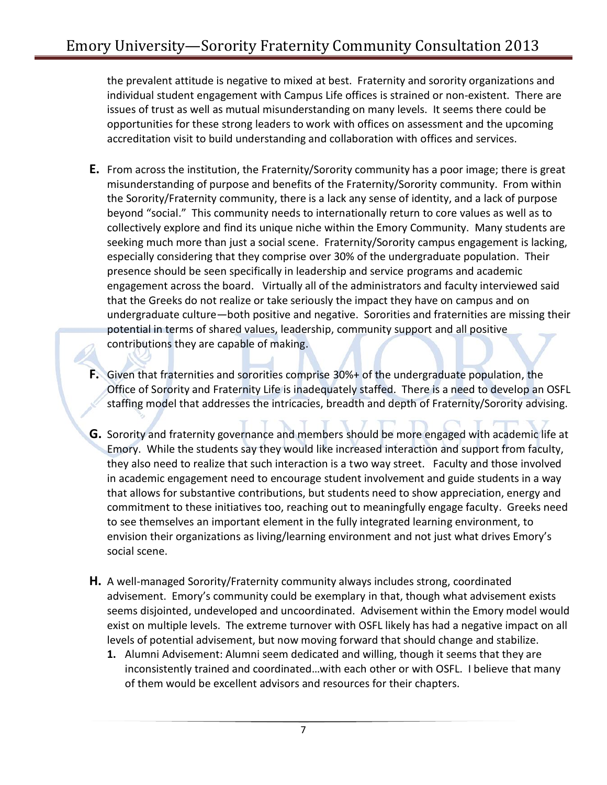the prevalent attitude is negative to mixed at best. Fraternity and sorority organizations and individual student engagement with Campus Life offices is strained or non-existent. There are issues of trust as well as mutual misunderstanding on many levels. It seems there could be opportunities for these strong leaders to work with offices on assessment and the upcoming accreditation visit to build understanding and collaboration with offices and services.

- **E.** From across the institution, the Fraternity/Sorority community has a poor image; there is great misunderstanding of purpose and benefits of the Fraternity/Sorority community. From within the Sorority/Fraternity community, there is a lack any sense of identity, and a lack of purpose beyond "social." This community needs to internationally return to core values as well as to collectively explore and find its unique niche within the Emory Community. Many students are seeking much more than just a social scene. Fraternity/Sorority campus engagement is lacking, especially considering that they comprise over 30% of the undergraduate population. Their presence should be seen specifically in leadership and service programs and academic engagement across the board. Virtually all of the administrators and faculty interviewed said that the Greeks do not realize or take seriously the impact they have on campus and on undergraduate culture—both positive and negative. Sororities and fraternities are missing their potential in terms of shared values, leadership, community support and all positive contributions they are capable of making.
- **F.** Given that fraternities and sororities comprise 30%+ of the undergraduate population, the Office of Sorority and Fraternity Life is inadequately staffed. There is a need to develop an OSFL staffing model that addresses the intricacies, breadth and depth of Fraternity/Sorority advising.
- **G.** Sorority and fraternity governance and members should be more engaged with academic life at Emory. While the students say they would like increased interaction and support from faculty, they also need to realize that such interaction is a two way street. Faculty and those involved in academic engagement need to encourage student involvement and guide students in a way that allows for substantive contributions, but students need to show appreciation, energy and commitment to these initiatives too, reaching out to meaningfully engage faculty. Greeks need to see themselves an important element in the fully integrated learning environment, to envision their organizations as living/learning environment and not just what drives Emory's social scene.
- **H.** A well-managed Sorority/Fraternity community always includes strong, coordinated advisement. Emory's community could be exemplary in that, though what advisement exists seems disjointed, undeveloped and uncoordinated. Advisement within the Emory model would exist on multiple levels. The extreme turnover with OSFL likely has had a negative impact on all levels of potential advisement, but now moving forward that should change and stabilize.
	- **1.** Alumni Advisement: Alumni seem dedicated and willing, though it seems that they are inconsistently trained and coordinated…with each other or with OSFL. I believe that many of them would be excellent advisors and resources for their chapters.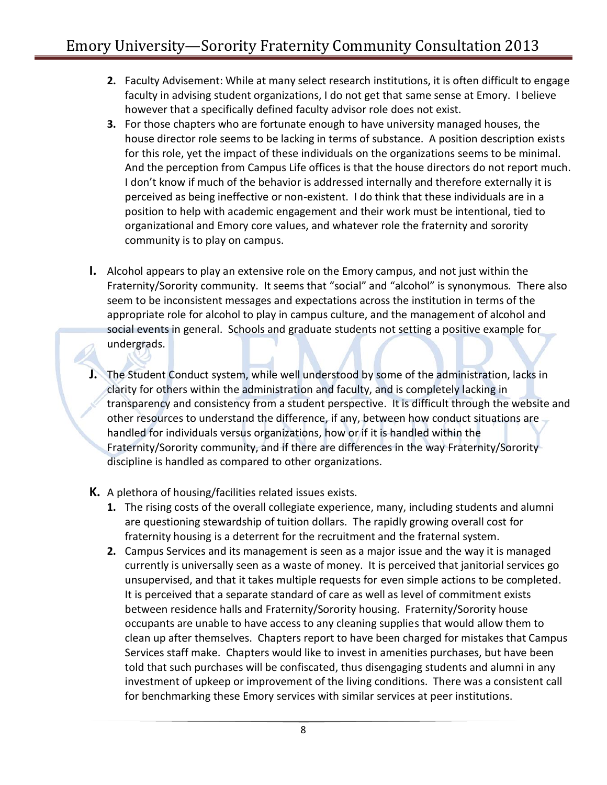- **2.** Faculty Advisement: While at many select research institutions, it is often difficult to engage faculty in advising student organizations, I do not get that same sense at Emory. I believe however that a specifically defined faculty advisor role does not exist.
- **3.** For those chapters who are fortunate enough to have university managed houses, the house director role seems to be lacking in terms of substance. A position description exists for this role, yet the impact of these individuals on the organizations seems to be minimal. And the perception from Campus Life offices is that the house directors do not report much. I don't know if much of the behavior is addressed internally and therefore externally it is perceived as being ineffective or non-existent. I do think that these individuals are in a position to help with academic engagement and their work must be intentional, tied to organizational and Emory core values, and whatever role the fraternity and sorority community is to play on campus.
- **I.** Alcohol appears to play an extensive role on the Emory campus, and not just within the Fraternity/Sorority community. It seems that "social" and "alcohol" is synonymous. There also seem to be inconsistent messages and expectations across the institution in terms of the appropriate role for alcohol to play in campus culture, and the management of alcohol and social events in general. Schools and graduate students not setting a positive example for undergrads.
- **J.** The Student Conduct system, while well understood by some of the administration, lacks in clarity for others within the administration and faculty, and is completely lacking in transparency and consistency from a student perspective. It is difficult through the website and other resources to understand the difference, if any, between how conduct situations are handled for individuals versus organizations, how or if it is handled within the Fraternity/Sorority community, and if there are differences in the way Fraternity/Sorority discipline is handled as compared to other organizations.
- **K.** A plethora of housing/facilities related issues exists.
	- **1.** The rising costs of the overall collegiate experience, many, including students and alumni are questioning stewardship of tuition dollars. The rapidly growing overall cost for fraternity housing is a deterrent for the recruitment and the fraternal system.
	- **2.** Campus Services and its management is seen as a major issue and the way it is managed currently is universally seen as a waste of money. It is perceived that janitorial services go unsupervised, and that it takes multiple requests for even simple actions to be completed. It is perceived that a separate standard of care as well as level of commitment exists between residence halls and Fraternity/Sorority housing. Fraternity/Sorority house occupants are unable to have access to any cleaning supplies that would allow them to clean up after themselves. Chapters report to have been charged for mistakes that Campus Services staff make. Chapters would like to invest in amenities purchases, but have been told that such purchases will be confiscated, thus disengaging students and alumni in any investment of upkeep or improvement of the living conditions. There was a consistent call for benchmarking these Emory services with similar services at peer institutions.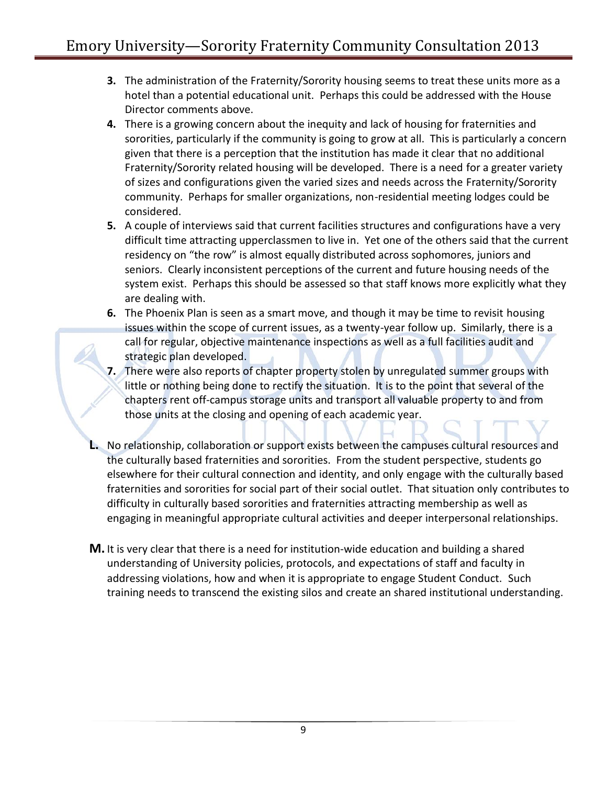- **3.** The administration of the Fraternity/Sorority housing seems to treat these units more as a hotel than a potential educational unit. Perhaps this could be addressed with the House Director comments above.
- **4.** There is a growing concern about the inequity and lack of housing for fraternities and sororities, particularly if the community is going to grow at all. This is particularly a concern given that there is a perception that the institution has made it clear that no additional Fraternity/Sorority related housing will be developed. There is a need for a greater variety of sizes and configurations given the varied sizes and needs across the Fraternity/Sorority community. Perhaps for smaller organizations, non-residential meeting lodges could be considered.
- **5.** A couple of interviews said that current facilities structures and configurations have a very difficult time attracting upperclassmen to live in. Yet one of the others said that the current residency on "the row" is almost equally distributed across sophomores, juniors and seniors. Clearly inconsistent perceptions of the current and future housing needs of the system exist. Perhaps this should be assessed so that staff knows more explicitly what they are dealing with.
- **6.** The Phoenix Plan is seen as a smart move, and though it may be time to revisit housing issues within the scope of current issues, as a twenty-year follow up. Similarly, there is a call for regular, objective maintenance inspections as well as a full facilities audit and strategic plan developed.
- **7.** There were also reports of chapter property stolen by unregulated summer groups with little or nothing being done to rectify the situation. It is to the point that several of the chapters rent off-campus storage units and transport all valuable property to and from those units at the closing and opening of each academic year.
- **L.** No relationship, collaboration or support exists between the campuses cultural resources and the culturally based fraternities and sororities. From the student perspective, students go elsewhere for their cultural connection and identity, and only engage with the culturally based fraternities and sororities for social part of their social outlet. That situation only contributes to difficulty in culturally based sororities and fraternities attracting membership as well as engaging in meaningful appropriate cultural activities and deeper interpersonal relationships.
- **M.** It is very clear that there is a need for institution-wide education and building a shared understanding of University policies, protocols, and expectations of staff and faculty in addressing violations, how and when it is appropriate to engage Student Conduct. Such training needs to transcend the existing silos and create an shared institutional understanding.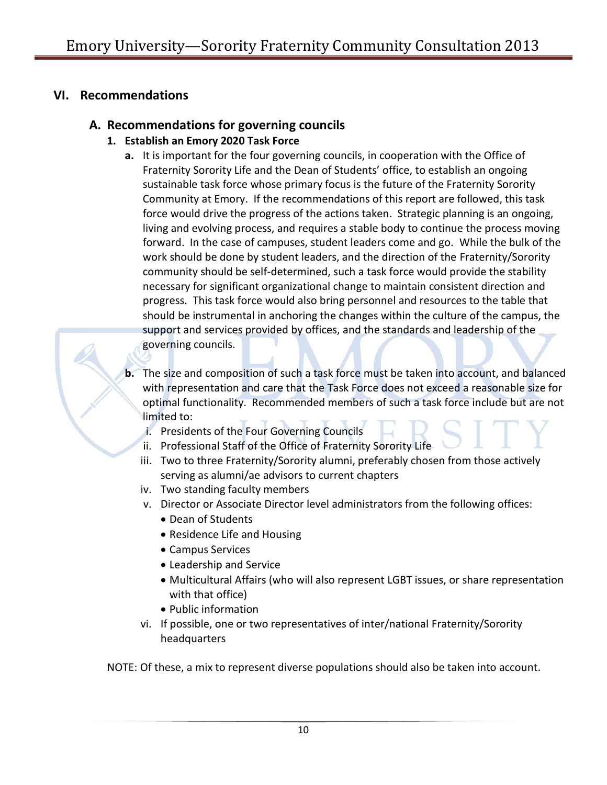## **VI. Recommendations**

# **A. Recommendations for governing councils**

- **1. Establish an Emory 2020 Task Force**
	- **a.** It is important for the four governing councils, in cooperation with the Office of Fraternity Sorority Life and the Dean of Students' office, to establish an ongoing sustainable task force whose primary focus is the future of the Fraternity Sorority Community at Emory. If the recommendations of this report are followed, this task force would drive the progress of the actions taken. Strategic planning is an ongoing, living and evolving process, and requires a stable body to continue the process moving forward. In the case of campuses, student leaders come and go. While the bulk of the work should be done by student leaders, and the direction of the Fraternity/Sorority community should be self-determined, such a task force would provide the stability necessary for significant organizational change to maintain consistent direction and progress. This task force would also bring personnel and resources to the table that should be instrumental in anchoring the changes within the culture of the campus, the support and services provided by offices, and the standards and leadership of the governing councils.
	- **b.** The size and composition of such a task force must be taken into account, and balanced with representation and care that the Task Force does not exceed a reasonable size for optimal functionality. Recommended members of such a task force include but are not limited to:
		- i. Presidents of the Four Governing Councils
		- ii. Professional Staff of the Office of Fraternity Sorority Life
		- iii. Two to three Fraternity/Sorority alumni, preferably chosen from those actively serving as alumni/ae advisors to current chapters
		- iv. Two standing faculty members
		- v. Director or Associate Director level administrators from the following offices:
			- Dean of Students
			- Residence Life and Housing
			- Campus Services
			- Leadership and Service
			- Multicultural Affairs (who will also represent LGBT issues, or share representation with that office)
			- Public information
		- vi. If possible, one or two representatives of inter/national Fraternity/Sorority headquarters

NOTE: Of these, a mix to represent diverse populations should also be taken into account.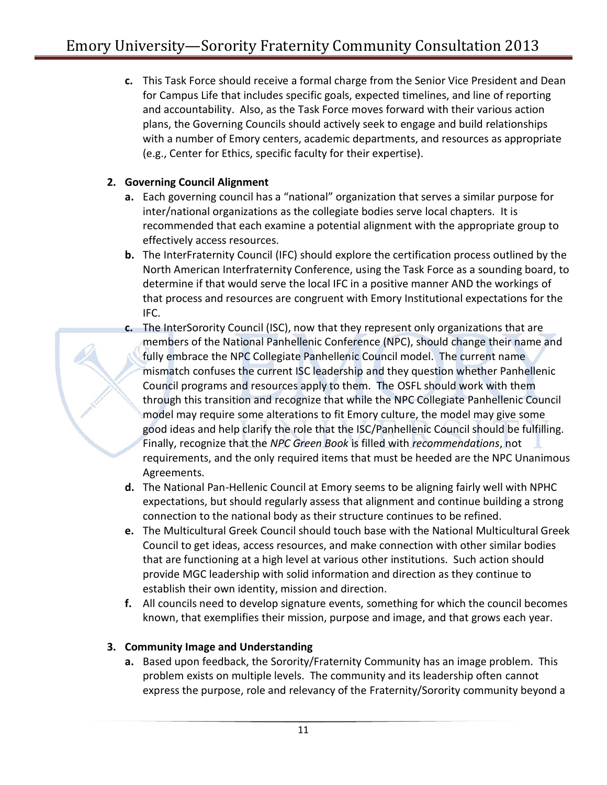**c.** This Task Force should receive a formal charge from the Senior Vice President and Dean for Campus Life that includes specific goals, expected timelines, and line of reporting and accountability. Also, as the Task Force moves forward with their various action plans, the Governing Councils should actively seek to engage and build relationships with a number of Emory centers, academic departments, and resources as appropriate (e.g., Center for Ethics, specific faculty for their expertise).

### **2. Governing Council Alignment**

- **a.** Each governing council has a "national" organization that serves a similar purpose for inter/national organizations as the collegiate bodies serve local chapters. It is recommended that each examine a potential alignment with the appropriate group to effectively access resources.
- **b.** The InterFraternity Council (IFC) should explore the certification process outlined by the North American Interfraternity Conference, using the Task Force as a sounding board, to determine if that would serve the local IFC in a positive manner AND the workings of that process and resources are congruent with Emory Institutional expectations for the IFC.
- **c.** The InterSorority Council (ISC), now that they represent only organizations that are members of the National Panhellenic Conference (NPC), should change their name and fully embrace the NPC Collegiate Panhellenic Council model. The current name mismatch confuses the current ISC leadership and they question whether Panhellenic Council programs and resources apply to them. The OSFL should work with them through this transition and recognize that while the NPC Collegiate Panhellenic Council model may require some alterations to fit Emory culture, the model may give some good ideas and help clarify the role that the ISC/Panhellenic Council should be fulfilling. Finally, recognize that the *NPC Green Book* is filled with *recommendations*, not requirements, and the only required items that must be heeded are the NPC Unanimous Agreements.
- **d.** The National Pan-Hellenic Council at Emory seems to be aligning fairly well with NPHC expectations, but should regularly assess that alignment and continue building a strong connection to the national body as their structure continues to be refined.
- **e.** The Multicultural Greek Council should touch base with the National Multicultural Greek Council to get ideas, access resources, and make connection with other similar bodies that are functioning at a high level at various other institutions. Such action should provide MGC leadership with solid information and direction as they continue to establish their own identity, mission and direction.
- **f.** All councils need to develop signature events, something for which the council becomes known, that exemplifies their mission, purpose and image, and that grows each year.

### **3. Community Image and Understanding**

**a.** Based upon feedback, the Sorority/Fraternity Community has an image problem. This problem exists on multiple levels. The community and its leadership often cannot express the purpose, role and relevancy of the Fraternity/Sorority community beyond a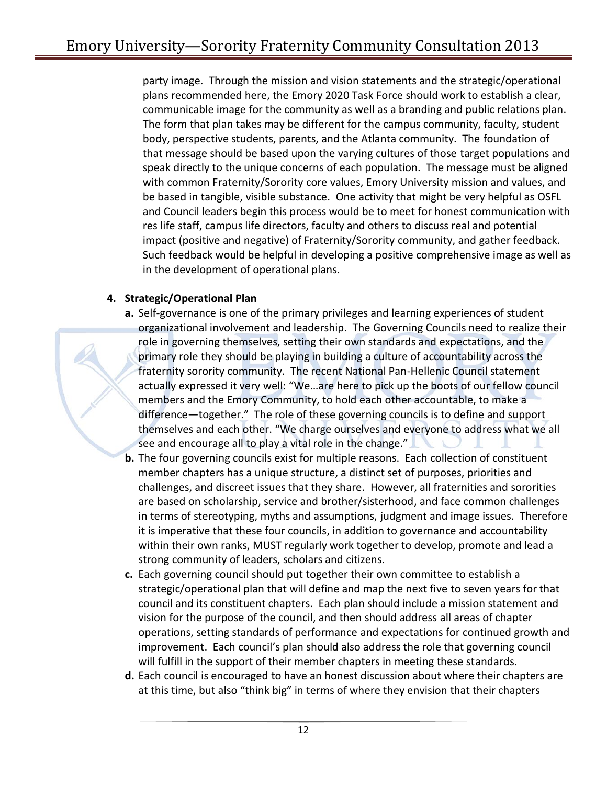party image. Through the mission and vision statements and the strategic/operational plans recommended here, the Emory 2020 Task Force should work to establish a clear, communicable image for the community as well as a branding and public relations plan. The form that plan takes may be different for the campus community, faculty, student body, perspective students, parents, and the Atlanta community. The foundation of that message should be based upon the varying cultures of those target populations and speak directly to the unique concerns of each population. The message must be aligned with common Fraternity/Sorority core values, Emory University mission and values, and be based in tangible, visible substance. One activity that might be very helpful as OSFL and Council leaders begin this process would be to meet for honest communication with res life staff, campus life directors, faculty and others to discuss real and potential impact (positive and negative) of Fraternity/Sorority community, and gather feedback. Such feedback would be helpful in developing a positive comprehensive image as well as in the development of operational plans.

#### **4. Strategic/Operational Plan**

- **a.** Self-governance is one of the primary privileges and learning experiences of student organizational involvement and leadership. The Governing Councils need to realize their role in governing themselves, setting their own standards and expectations, and the primary role they should be playing in building a culture of accountability across the fraternity sorority community. The recent National Pan-Hellenic Council statement actually expressed it very well: "We…are here to pick up the boots of our fellow council members and the Emory Community, to hold each other accountable, to make a difference—together." The role of these governing councils is to define and support themselves and each other. "We charge ourselves and everyone to address what we all see and encourage all to play a vital role in the change."
- **b.** The four governing councils exist for multiple reasons. Each collection of constituent member chapters has a unique structure, a distinct set of purposes, priorities and challenges, and discreet issues that they share. However, all fraternities and sororities are based on scholarship, service and brother/sisterhood, and face common challenges in terms of stereotyping, myths and assumptions, judgment and image issues. Therefore it is imperative that these four councils, in addition to governance and accountability within their own ranks, MUST regularly work together to develop, promote and lead a strong community of leaders, scholars and citizens.
- **c.** Each governing council should put together their own committee to establish a strategic/operational plan that will define and map the next five to seven years for that council and its constituent chapters. Each plan should include a mission statement and vision for the purpose of the council, and then should address all areas of chapter operations, setting standards of performance and expectations for continued growth and improvement. Each council's plan should also address the role that governing council will fulfill in the support of their member chapters in meeting these standards.
- **d.** Each council is encouraged to have an honest discussion about where their chapters are at this time, but also "think big" in terms of where they envision that their chapters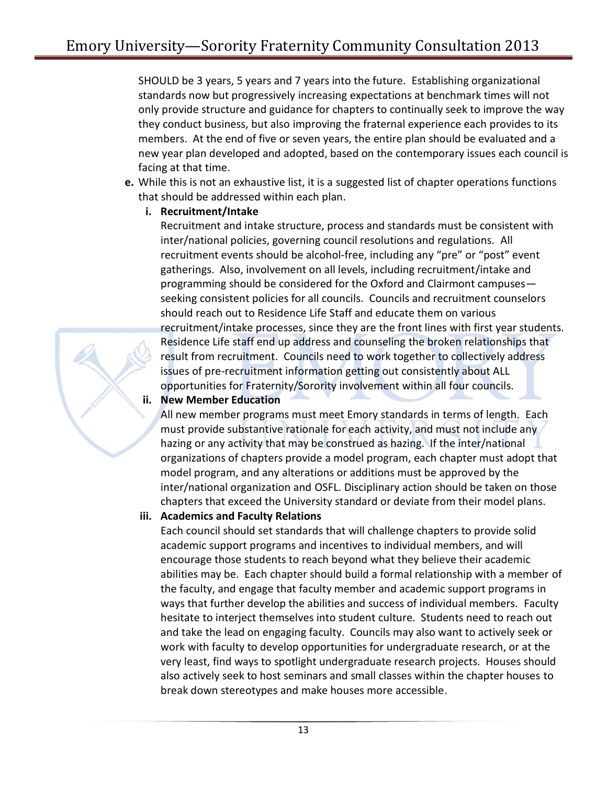SHOULD be 3 years, 5 years and 7 years into the future. Establishing organizational standards now but progressively increasing expectations at benchmark times will not only provide structure and guidance for chapters to continually seek to improve the way they conduct business, but also improving the fraternal experience each provides to its members. At the end of five or seven years, the entire plan should be evaluated and a new year plan developed and adopted, based on the contemporary issues each council is facing at that time.

**e.** While this is not an exhaustive list, it is a suggested list of chapter operations functions that should be addressed within each plan.

#### **i. Recruitment/Intake**

Recruitment and intake structure, process and standards must be consistent with inter/national policies, governing council resolutions and regulations. All recruitment events should be alcohol-free, including any "pre" or "post" event gatherings. Also, involvement on all levels, including recruitment/intake and programming should be considered for the Oxford and Clairmont campuses seeking consistent policies for all councils. Councils and recruitment counselors should reach out to Residence Life Staff and educate them on various recruitment/intake processes, since they are the front lines with first year students. Residence Life staff end up address and counseling the broken relationships that result from recruitment. Councils need to work together to collectively address issues of pre-recruitment information getting out consistently about ALL opportunities for Fraternity/Sorority involvement within all four councils.

#### **ii. New Member Education**

All new member programs must meet Emory standards in terms of length. Each must provide substantive rationale for each activity, and must not include any hazing or any activity that may be construed as hazing. If the inter/national organizations of chapters provide a model program, each chapter must adopt that model program, and any alterations or additions must be approved by the inter/national organization and OSFL. Disciplinary action should be taken on those chapters that exceed the University standard or deviate from their model plans.

#### **iii. Academics and Faculty Relations**

Each council should set standards that will challenge chapters to provide solid academic support programs and incentives to individual members, and will encourage those students to reach beyond what they believe their academic abilities may be. Each chapter should build a formal relationship with a member of the faculty, and engage that faculty member and academic support programs in ways that further develop the abilities and success of individual members. Faculty hesitate to interject themselves into student culture. Students need to reach out and take the lead on engaging faculty. Councils may also want to actively seek or work with faculty to develop opportunities for undergraduate research, or at the very least, find ways to spotlight undergraduate research projects. Houses should also actively seek to host seminars and small classes within the chapter houses to break down stereotypes and make houses more accessible.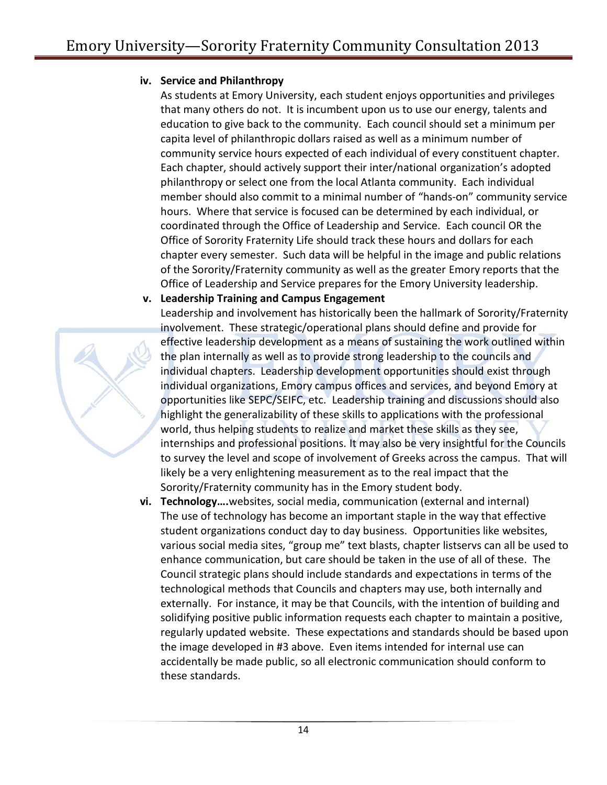#### **iv. Service and Philanthropy**

As students at Emory University, each student enjoys opportunities and privileges that many others do not. It is incumbent upon us to use our energy, talents and education to give back to the community. Each council should set a minimum per capita level of philanthropic dollars raised as well as a minimum number of community service hours expected of each individual of every constituent chapter. Each chapter, should actively support their inter/national organization's adopted philanthropy or select one from the local Atlanta community. Each individual member should also commit to a minimal number of "hands-on" community service hours. Where that service is focused can be determined by each individual, or coordinated through the Office of Leadership and Service. Each council OR the Office of Sorority Fraternity Life should track these hours and dollars for each chapter every semester. Such data will be helpful in the image and public relations of the Sorority/Fraternity community as well as the greater Emory reports that the Office of Leadership and Service prepares for the Emory University leadership.

#### **v. Leadership Training and Campus Engagement**



Leadership and involvement has historically been the hallmark of Sorority/Fraternity involvement. These strategic/operational plans should define and provide for effective leadership development as a means of sustaining the work outlined within the plan internally as well as to provide strong leadership to the councils and individual chapters. Leadership development opportunities should exist through individual organizations, Emory campus offices and services, and beyond Emory at opportunities like SEPC/SEIFC, etc. Leadership training and discussions should also highlight the generalizability of these skills to applications with the professional world, thus helping students to realize and market these skills as they see, internships and professional positions. It may also be very insightful for the Councils to survey the level and scope of involvement of Greeks across the campus. That will likely be a very enlightening measurement as to the real impact that the Sorority/Fraternity community has in the Emory student body.

**vi. Technology….**websites, social media, communication (external and internal) The use of technology has become an important staple in the way that effective student organizations conduct day to day business. Opportunities like websites, various social media sites, "group me" text blasts, chapter listservs can all be used to enhance communication, but care should be taken in the use of all of these. The Council strategic plans should include standards and expectations in terms of the technological methods that Councils and chapters may use, both internally and externally. For instance, it may be that Councils, with the intention of building and solidifying positive public information requests each chapter to maintain a positive, regularly updated website. These expectations and standards should be based upon the image developed in #3 above. Even items intended for internal use can accidentally be made public, so all electronic communication should conform to these standards.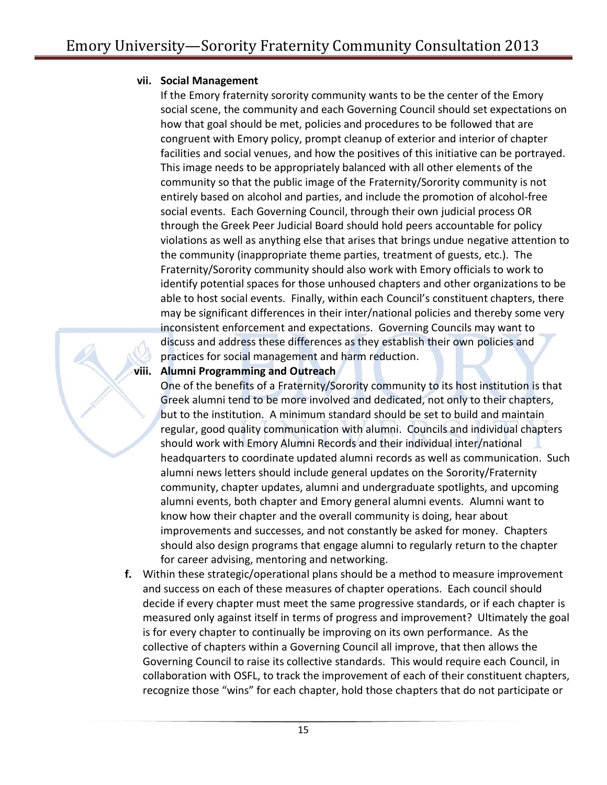#### **vii. Social Management**

If the Emory fraternity sorority community wants to be the center of the Emory social scene, the community and each Governing Council should set expectations on how that goal should be met, policies and procedures to be followed that are congruent with Emory policy, prompt cleanup of exterior and interior of chapter facilities and social venues, and how the positives of this initiative can be portrayed. This image needs to be appropriately balanced with all other elements of the community so that the public image of the Fraternity/Sorority community is not entirely based on alcohol and parties, and include the promotion of alcohol-free social events. Each Governing Council, through their own judicial process OR through the Greek Peer Judicial Board should hold peers accountable for policy violations as well as anything else that arises that brings undue negative attention to the community (inappropriate theme parties, treatment of guests, etc.). The Fraternity/Sorority community should also work with Emory officials to work to identify potential spaces for those unhoused chapters and other organizations to be able to host social events. Finally, within each Council's constituent chapters, there may be significant differences in their inter/national policies and thereby some very inconsistent enforcement and expectations. Governing Councils may want to discuss and address these differences as they establish their own policies and practices for social management and harm reduction.

#### **viii. Alumni Programming and Outreach**

One of the benefits of a Fraternity/Sorority community to its host institution is that Greek alumni tend to be more involved and dedicated, not only to their chapters, but to the institution. A minimum standard should be set to build and maintain regular, good quality communication with alumni. Councils and individual chapters should work with Emory Alumni Records and their individual inter/national headquarters to coordinate updated alumni records as well as communication. Such alumni news letters should include general updates on the Sorority/Fraternity community, chapter updates, alumni and undergraduate spotlights, and upcoming alumni events, both chapter and Emory general alumni events. Alumni want to know how their chapter and the overall community is doing, hear about improvements and successes, and not constantly be asked for money. Chapters should also design programs that engage alumni to regularly return to the chapter for career advising, mentoring and networking.

**f.** Within these strategic/operational plans should be a method to measure improvement and success on each of these measures of chapter operations. Each council should decide if every chapter must meet the same progressive standards, or if each chapter is measured only against itself in terms of progress and improvement? Ultimately the goal is for every chapter to continually be improving on its own performance. As the collective of chapters within a Governing Council all improve, that then allows the Governing Council to raise its collective standards. This would require each Council, in collaboration with OSFL, to track the improvement of each of their constituent chapters, recognize those "wins" for each chapter, hold those chapters that do not participate or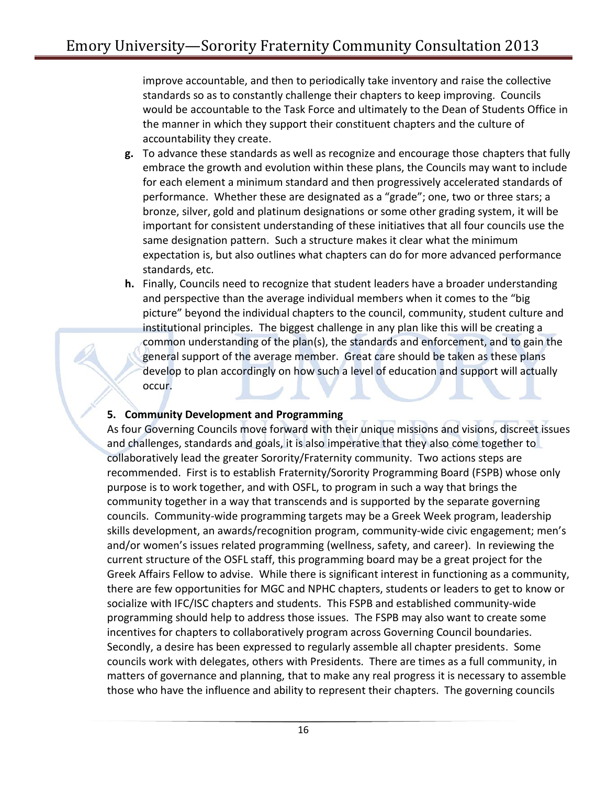improve accountable, and then to periodically take inventory and raise the collective standards so as to constantly challenge their chapters to keep improving. Councils would be accountable to the Task Force and ultimately to the Dean of Students Office in the manner in which they support their constituent chapters and the culture of accountability they create.

- **g.** To advance these standards as well as recognize and encourage those chapters that fully embrace the growth and evolution within these plans, the Councils may want to include for each element a minimum standard and then progressively accelerated standards of performance. Whether these are designated as a "grade"; one, two or three stars; a bronze, silver, gold and platinum designations or some other grading system, it will be important for consistent understanding of these initiatives that all four councils use the same designation pattern. Such a structure makes it clear what the minimum expectation is, but also outlines what chapters can do for more advanced performance standards, etc.
- **h.** Finally, Councils need to recognize that student leaders have a broader understanding and perspective than the average individual members when it comes to the "big picture" beyond the individual chapters to the council, community, student culture and institutional principles. The biggest challenge in any plan like this will be creating a common understanding of the plan(s), the standards and enforcement, and to gain the general support of the average member. Great care should be taken as these plans develop to plan accordingly on how such a level of education and support will actually occur.

#### **5. Community Development and Programming**

As four Governing Councils move forward with their unique missions and visions, discreet issues and challenges, standards and goals, it is also imperative that they also come together to collaboratively lead the greater Sorority/Fraternity community. Two actions steps are recommended. First is to establish Fraternity/Sorority Programming Board (FSPB) whose only purpose is to work together, and with OSFL, to program in such a way that brings the community together in a way that transcends and is supported by the separate governing councils. Community-wide programming targets may be a Greek Week program, leadership skills development, an awards/recognition program, community-wide civic engagement; men's and/or women's issues related programming (wellness, safety, and career). In reviewing the current structure of the OSFL staff, this programming board may be a great project for the Greek Affairs Fellow to advise. While there is significant interest in functioning as a community, there are few opportunities for MGC and NPHC chapters, students or leaders to get to know or socialize with IFC/ISC chapters and students. This FSPB and established community-wide programming should help to address those issues. The FSPB may also want to create some incentives for chapters to collaboratively program across Governing Council boundaries. Secondly, a desire has been expressed to regularly assemble all chapter presidents. Some councils work with delegates, others with Presidents. There are times as a full community, in matters of governance and planning, that to make any real progress it is necessary to assemble those who have the influence and ability to represent their chapters. The governing councils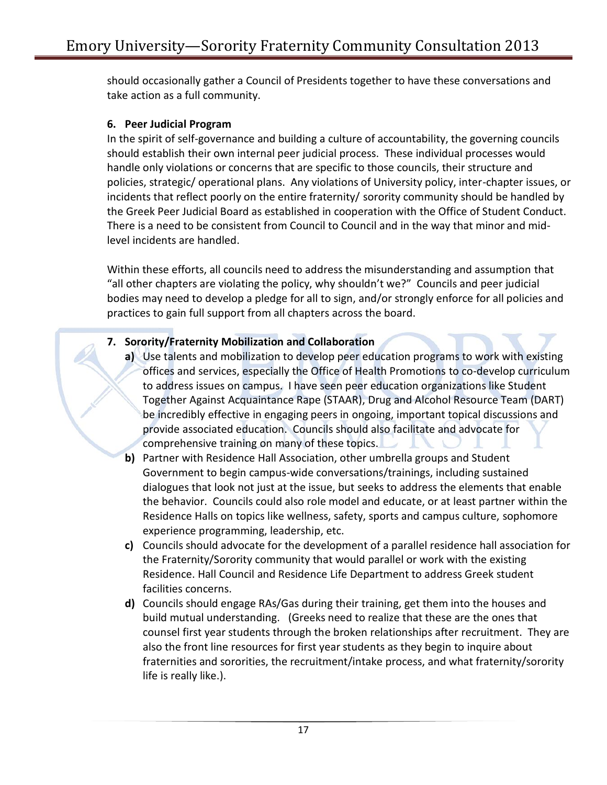should occasionally gather a Council of Presidents together to have these conversations and take action as a full community.

### **6. Peer Judicial Program**

In the spirit of self-governance and building a culture of accountability, the governing councils should establish their own internal peer judicial process. These individual processes would handle only violations or concerns that are specific to those councils, their structure and policies, strategic/ operational plans. Any violations of University policy, inter-chapter issues, or incidents that reflect poorly on the entire fraternity/ sorority community should be handled by the Greek Peer Judicial Board as established in cooperation with the Office of Student Conduct. There is a need to be consistent from Council to Council and in the way that minor and midlevel incidents are handled.

Within these efforts, all councils need to address the misunderstanding and assumption that "all other chapters are violating the policy, why shouldn't we?" Councils and peer judicial bodies may need to develop a pledge for all to sign, and/or strongly enforce for all policies and practices to gain full support from all chapters across the board.

### **7. Sorority/Fraternity Mobilization and Collaboration**

- **a)** Use talents and mobilization to develop peer education programs to work with existing offices and services, especially the Office of Health Promotions to co-develop curriculum to address issues on campus. I have seen peer education organizations like Student Together Against Acquaintance Rape (STAAR), Drug and Alcohol Resource Team (DART) be incredibly effective in engaging peers in ongoing, important topical discussions and provide associated education. Councils should also facilitate and advocate for comprehensive training on many of these topics.
- **b)** Partner with Residence Hall Association, other umbrella groups and Student Government to begin campus-wide conversations/trainings, including sustained dialogues that look not just at the issue, but seeks to address the elements that enable the behavior. Councils could also role model and educate, or at least partner within the Residence Halls on topics like wellness, safety, sports and campus culture, sophomore experience programming, leadership, etc.
- **c)** Councils should advocate for the development of a parallel residence hall association for the Fraternity/Sorority community that would parallel or work with the existing Residence. Hall Council and Residence Life Department to address Greek student facilities concerns.
- **d)** Councils should engage RAs/Gas during their training, get them into the houses and build mutual understanding. (Greeks need to realize that these are the ones that counsel first year students through the broken relationships after recruitment. They are also the front line resources for first year students as they begin to inquire about fraternities and sororities, the recruitment/intake process, and what fraternity/sorority life is really like.).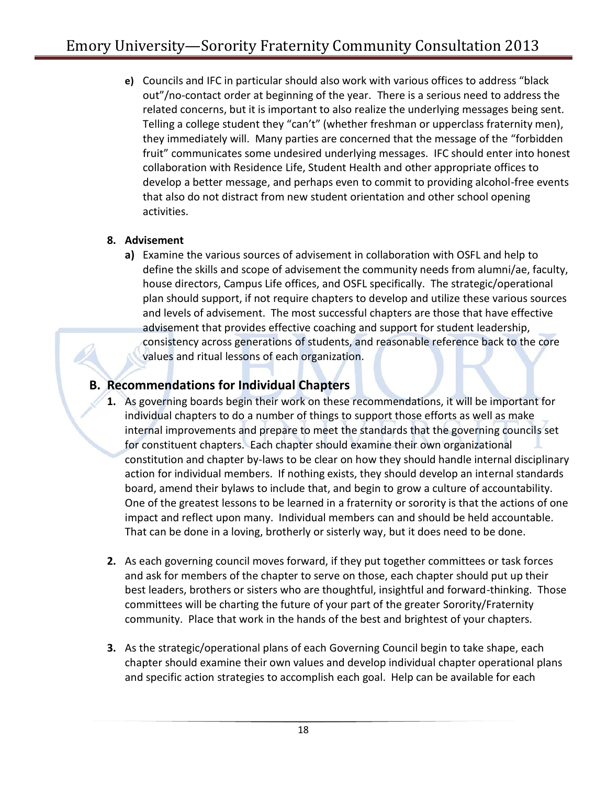**e)** Councils and IFC in particular should also work with various offices to address "black out"/no-contact order at beginning of the year. There is a serious need to address the related concerns, but it is important to also realize the underlying messages being sent. Telling a college student they "can't" (whether freshman or upperclass fraternity men), they immediately will. Many parties are concerned that the message of the "forbidden fruit" communicates some undesired underlying messages. IFC should enter into honest collaboration with Residence Life, Student Health and other appropriate offices to develop a better message, and perhaps even to commit to providing alcohol-free events that also do not distract from new student orientation and other school opening activities.

### **8. Advisement**

**a)** Examine the various sources of advisement in collaboration with OSFL and help to define the skills and scope of advisement the community needs from alumni/ae, faculty, house directors, Campus Life offices, and OSFL specifically. The strategic/operational plan should support, if not require chapters to develop and utilize these various sources and levels of advisement. The most successful chapters are those that have effective advisement that provides effective coaching and support for student leadership, consistency across generations of students, and reasonable reference back to the core values and ritual lessons of each organization.

# **B. Recommendations for Individual Chapters**

- **1.** As governing boards begin their work on these recommendations, it will be important for individual chapters to do a number of things to support those efforts as well as make internal improvements and prepare to meet the standards that the governing councils set for constituent chapters. Each chapter should examine their own organizational constitution and chapter by-laws to be clear on how they should handle internal disciplinary action for individual members. If nothing exists, they should develop an internal standards board, amend their bylaws to include that, and begin to grow a culture of accountability. One of the greatest lessons to be learned in a fraternity or sorority is that the actions of one impact and reflect upon many. Individual members can and should be held accountable. That can be done in a loving, brotherly or sisterly way, but it does need to be done.
- **2.** As each governing council moves forward, if they put together committees or task forces and ask for members of the chapter to serve on those, each chapter should put up their best leaders, brothers or sisters who are thoughtful, insightful and forward-thinking. Those committees will be charting the future of your part of the greater Sorority/Fraternity community. Place that work in the hands of the best and brightest of your chapters.
- **3.** As the strategic/operational plans of each Governing Council begin to take shape, each chapter should examine their own values and develop individual chapter operational plans and specific action strategies to accomplish each goal. Help can be available for each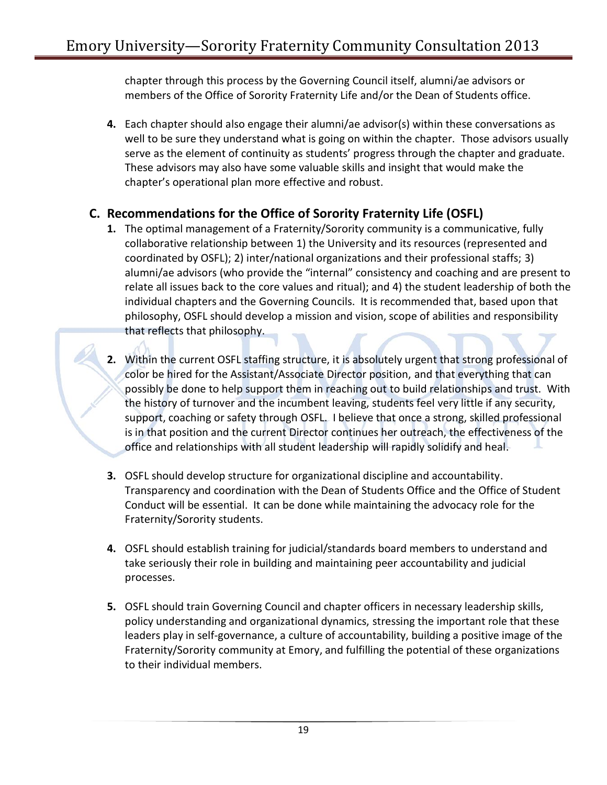chapter through this process by the Governing Council itself, alumni/ae advisors or members of the Office of Sorority Fraternity Life and/or the Dean of Students office.

**4.** Each chapter should also engage their alumni/ae advisor(s) within these conversations as well to be sure they understand what is going on within the chapter. Those advisors usually serve as the element of continuity as students' progress through the chapter and graduate. These advisors may also have some valuable skills and insight that would make the chapter's operational plan more effective and robust.

# **C. Recommendations for the Office of Sorority Fraternity Life (OSFL)**

- **1.** The optimal management of a Fraternity/Sorority community is a communicative, fully collaborative relationship between 1) the University and its resources (represented and coordinated by OSFL); 2) inter/national organizations and their professional staffs; 3) alumni/ae advisors (who provide the "internal" consistency and coaching and are present to relate all issues back to the core values and ritual); and 4) the student leadership of both the individual chapters and the Governing Councils. It is recommended that, based upon that philosophy, OSFL should develop a mission and vision, scope of abilities and responsibility that reflects that philosophy.
- **2.** Within the current OSFL staffing structure, it is absolutely urgent that strong professional of color be hired for the Assistant/Associate Director position, and that everything that can possibly be done to help support them in reaching out to build relationships and trust. With the history of turnover and the incumbent leaving, students feel very little if any security, support, coaching or safety through OSFL. I believe that once a strong, skilled professional is in that position and the current Director continues her outreach, the effectiveness of the office and relationships with all student leadership will rapidly solidify and heal.
- **3.** OSFL should develop structure for organizational discipline and accountability. Transparency and coordination with the Dean of Students Office and the Office of Student Conduct will be essential. It can be done while maintaining the advocacy role for the Fraternity/Sorority students.
- **4.** OSFL should establish training for judicial/standards board members to understand and take seriously their role in building and maintaining peer accountability and judicial processes.
- **5.** OSFL should train Governing Council and chapter officers in necessary leadership skills, policy understanding and organizational dynamics, stressing the important role that these leaders play in self-governance, a culture of accountability, building a positive image of the Fraternity/Sorority community at Emory, and fulfilling the potential of these organizations to their individual members.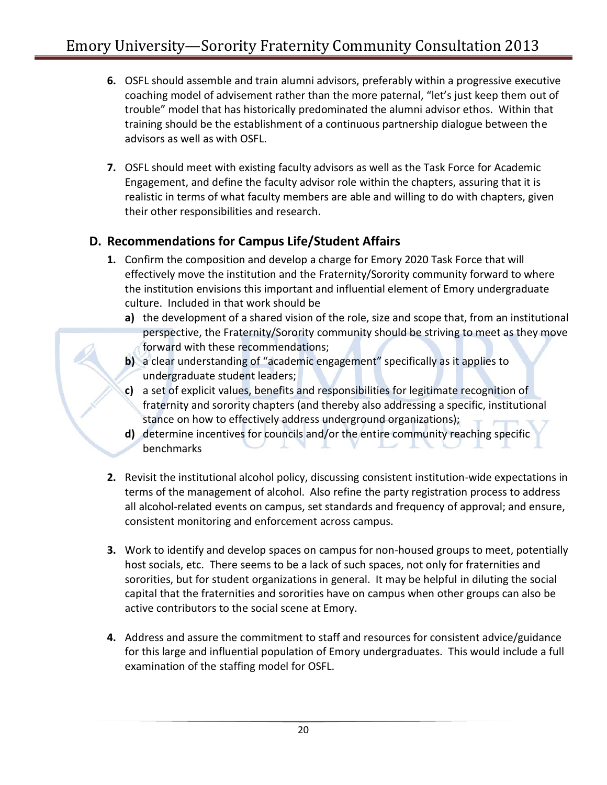- **6.** OSFL should assemble and train alumni advisors, preferably within a progressive executive coaching model of advisement rather than the more paternal, "let's just keep them out of trouble" model that has historically predominated the alumni advisor ethos. Within that training should be the establishment of a continuous partnership dialogue between the advisors as well as with OSFL.
- **7.** OSFL should meet with existing faculty advisors as well as the Task Force for Academic Engagement, and define the faculty advisor role within the chapters, assuring that it is realistic in terms of what faculty members are able and willing to do with chapters, given their other responsibilities and research.

# **D. Recommendations for Campus Life/Student Affairs**

- **1.** Confirm the composition and develop a charge for Emory 2020 Task Force that will effectively move the institution and the Fraternity/Sorority community forward to where the institution envisions this important and influential element of Emory undergraduate culture. Included in that work should be
	- **a)** the development of a shared vision of the role, size and scope that, from an institutional perspective, the Fraternity/Sorority community should be striving to meet as they move forward with these recommendations;
	- **b)** a clear understanding of "academic engagement" specifically as it applies to undergraduate student leaders;
	- **c)** a set of explicit values, benefits and responsibilities for legitimate recognition of fraternity and sorority chapters (and thereby also addressing a specific, institutional stance on how to effectively address underground organizations);
	- **d)** determine incentives for councils and/or the entire community reaching specific benchmarks
- **2.** Revisit the institutional alcohol policy, discussing consistent institution-wide expectations in terms of the management of alcohol. Also refine the party registration process to address all alcohol-related events on campus, set standards and frequency of approval; and ensure, consistent monitoring and enforcement across campus.
- **3.** Work to identify and develop spaces on campus for non-housed groups to meet, potentially host socials, etc. There seems to be a lack of such spaces, not only for fraternities and sororities, but for student organizations in general. It may be helpful in diluting the social capital that the fraternities and sororities have on campus when other groups can also be active contributors to the social scene at Emory.
- **4.** Address and assure the commitment to staff and resources for consistent advice/guidance for this large and influential population of Emory undergraduates. This would include a full examination of the staffing model for OSFL.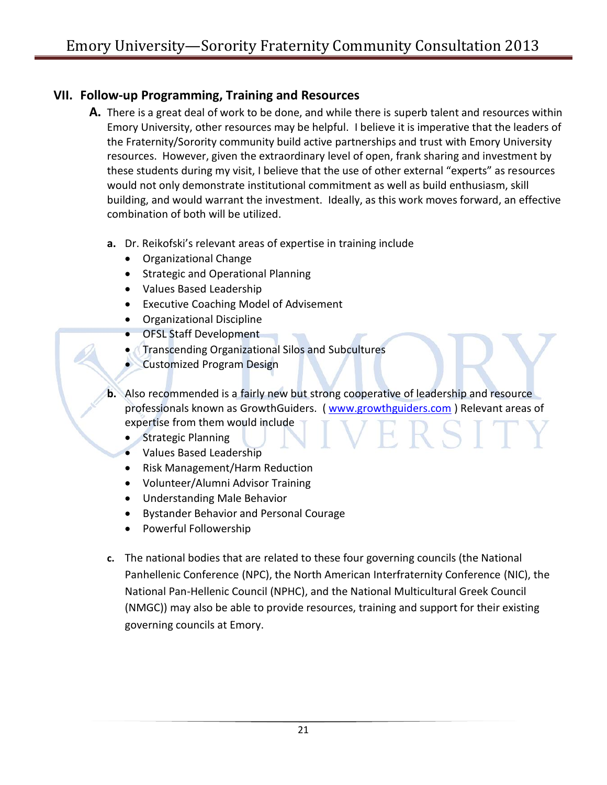# **VII. Follow-up Programming, Training and Resources**

- **A.** There is a great deal of work to be done, and while there is superb talent and resources within Emory University, other resources may be helpful. I believe it is imperative that the leaders of the Fraternity/Sorority community build active partnerships and trust with Emory University resources. However, given the extraordinary level of open, frank sharing and investment by these students during my visit, I believe that the use of other external "experts" as resources would not only demonstrate institutional commitment as well as build enthusiasm, skill building, and would warrant the investment. Ideally, as this work moves forward, an effective combination of both will be utilized.
	- **a.** Dr. Reikofski's relevant areas of expertise in training include
		- Organizational Change
		- Strategic and Operational Planning
		- Values Based Leadership
		- Executive Coaching Model of Advisement
		- Organizational Discipline
		- **OFSL Staff Development**
		- Transcending Organizational Silos and Subcultures
		- **Customized Program Design**

**b.** Also recommended is a fairly new but strong cooperative of leadership and resource professionals known as GrowthGuiders. [\( www.growthguiders.com](http://www.growthguiders.com/) ) Relevant areas of expertise from them would include

- Strategic Planning
- Values Based Leadership
- Risk Management/Harm Reduction
- Volunteer/Alumni Advisor Training
- Understanding Male Behavior
- Bystander Behavior and Personal Courage
- Powerful Followership
- **c.** The national bodies that are related to these four governing councils (the National Panhellenic Conference (NPC), the North American Interfraternity Conference (NIC), the National Pan-Hellenic Council (NPHC), and the National Multicultural Greek Council (NMGC)) may also be able to provide resources, training and support for their existing governing councils at Emory.